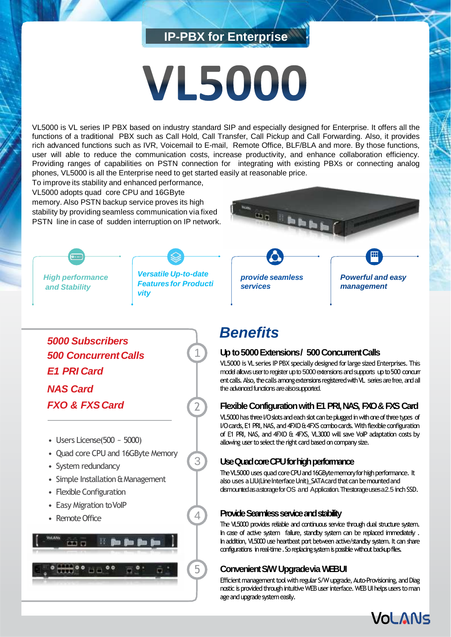# **IP-PBX for Enterprise**

# **VL5000**

VL5000 is VL series IP PBX based on industry standard SIP and especially designed for Enterprise. It offers all the functions of a traditional PBX such as Call Hold, Call Transfer, Call Pickup and Call Forwarding. Also, it provides rich advanced functions such as IVR, Voicemail to E-mail, Remote Office, BLF/BLA and more. By those functions, user will able to reduce the communication costs, increase productivity, and enhance collaboration efficiency. Providing ranges of capabilities on PSTN connection for integrating with existing PBXs or connecting analog phones, VL5000 is all the Enterprise need to get started easily at reasonable price.

To improve its stability and enhanced performance, VL5000 adopts quad core CPU and 16GByte memory. Also PSTN backup service proves its high stability by providing seamless communication via fixed PSTN line in case of sudden interruption on IP network.



*Versatile Up-to-date* 



*Powerful and easy management*

*and Stability*

*Featuresfor Producti vity*

1

2

3

 $\varDelta$ 

5



*Benefits*

### Up to 5000 Extensions/ 500 Concurrent Calls

VL5000 is VL series IP PBX specially designed forlarge sized Enterprises. This model allows user to register up to 5000 extensions and supports up to 500 concurr ent calls. Also, the calls among extensions registered with VL series are free, and all the advanced functions are also supported.

# **Flexible Configuration with E1 PRI, NAS, FXO & FXS Card**

VL5000 has three I/O slots and each slot can be plugged in with one of three types of I/O cards, E1 PRI, NAS, and 4FXO & 4FXS combo cards. With flexible configuration of E1 PRI, NAS, and 4FXO & 4FXS, VL3000 will save VoIP adaptation costs by allowing user to select the right card based on company size.

# **Use Quad core CPU for high performance**

The VL5000 uses quad core CPU and 16GByte memory for high performance. It also uses a LIU(Line Interface Unit)\_SATA card that can be mounted and dismounted as a storage for OS and Application. The storage uses a 2.5 inch SSD.

# **Provide Seamless service and stability**

The VL5000 provides reliable and continuous service through dual structure system. In case of active system failure, standby system can be replaced immediately . In addition, VL5000 use heartbeat port between active/standby system. It can share configurations in real-time. So replacing system is possible without backup files.

# **Convenient S/W Upgrade via WEBUI**

Efficient management tool with regular S/W upgrade, Auto-Provisioning, and Diag nostic is provided through intuitive WEB user interface. WEB UI helps users to man age and upgrade system easily.



*5000 Subscribers 500 ConcurrentCalls E1 PRI Card NAS Card FXO & FXSCard*

- Users License(500 ~ 5000)
- Quad core CPU and 16GByte Memory
- System redundancy
- Simple Installation & Management
- Flexible Configuration
- Easy Migration to VoIP
- Remote Office